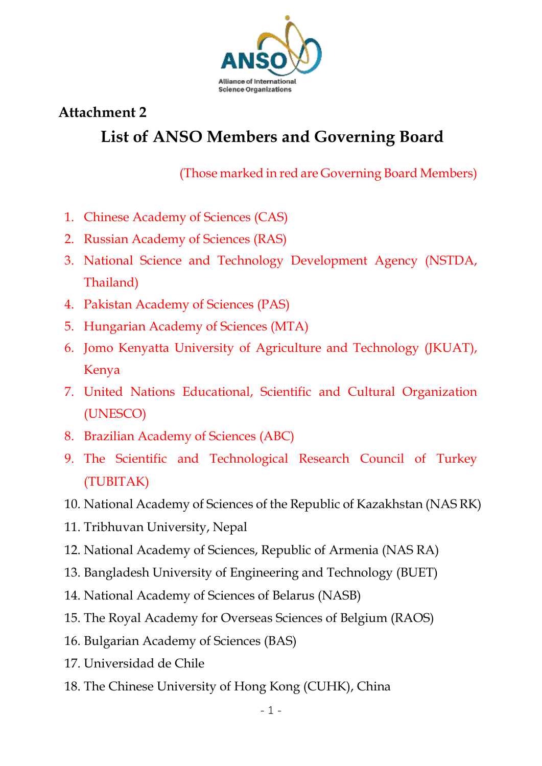

## **Attachment 2 List of ANSO Members and Governing Board**

(Those marked in red are Governing Board Members)

- 1. Chinese Academy of Sciences (CAS)
- 2. Russian Academy of Sciences (RAS)
- 3. National Science and Technology Development Agency (NSTDA, Thailand)
- 4. Pakistan Academy of Sciences (PAS)
- 5. Hungarian Academy of Sciences (MTA)
- 6. Jomo Kenyatta University of Agriculture and Technology (JKUAT), Kenya
- 7. United Nations Educational, Scientific and Cultural Organization (UNESCO)
- 8. Brazilian Academy of Sciences (ABC)
- 9. The Scientific and Technological Research Council of Turkey (TUBITAK)
- 10. National Academy of Sciences of the Republic of Kazakhstan (NAS RK)
- 11. Tribhuvan University, Nepal
- 12. National Academy of Sciences, Republic of Armenia (NAS RA)
- 13. Bangladesh University of Engineering and Technology (BUET)
- 14. National Academy of Sciences of Belarus (NASB)
- 15. The Royal Academy for Overseas Sciences of Belgium (RAOS)
- 16. Bulgarian Academy of Sciences (BAS)
- 17. Universidad de Chile
- 18. The Chinese University of Hong Kong (CUHK), China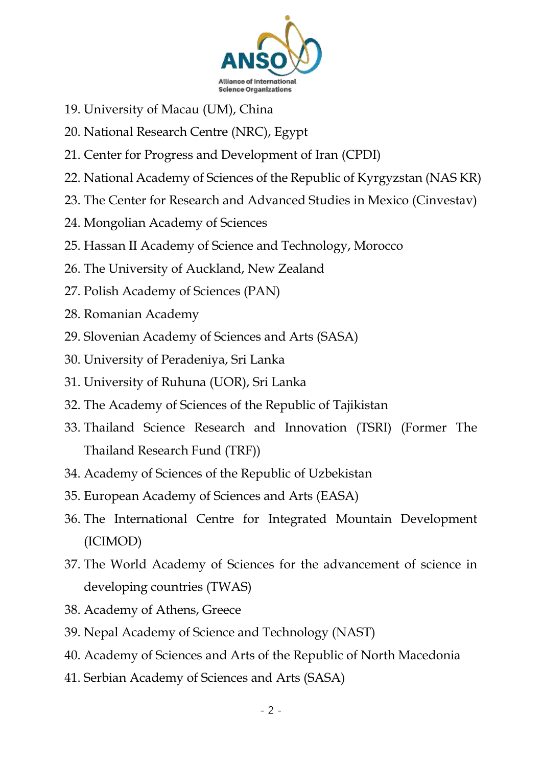

- 19. University of Macau (UM), China
- 20. National Research Centre (NRC), Egypt
- 21. Center for Progress and Development of Iran (CPDI)
- 22. National Academy of Sciences of the Republic of Kyrgyzstan (NAS KR)
- 23. The Center for Research and Advanced Studies in Mexico (Cinvestav)
- 24. Mongolian Academy of Sciences
- 25. Hassan II Academy of Science and Technology, Morocco
- 26. The University of Auckland, New Zealand
- 27. Polish Academy of Sciences (PAN)
- 28. Romanian Academy
- 29. Slovenian Academy of Sciences and Arts (SASA)
- 30. University of Peradeniya, Sri Lanka
- 31. University of Ruhuna (UOR), Sri Lanka
- 32. The Academy of Sciences of the Republic of Tajikistan
- 33. Thailand Science Research and Innovation (TSRI) (Former The Thailand Research Fund (TRF))
- 34. Academy of Sciences of the Republic of Uzbekistan
- 35. European Academy of Sciences and Arts (EASA)
- 36. The International Centre for Integrated Mountain Development (ICIMOD)
- 37. The World Academy of Sciences for the advancement of science in developing countries (TWAS)
- 38. Academy of Athens, Greece
- 39. Nepal Academy of Science and Technology (NAST)
- 40. Academy of Sciences and Arts of the Republic of North Macedonia
- 41. Serbian Academy of Sciences and Arts (SASA)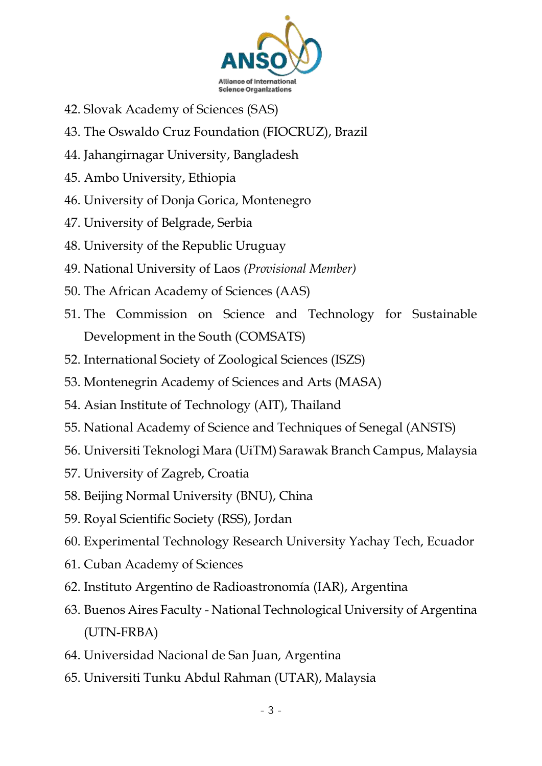

- 42. Slovak Academy of Sciences (SAS)
- 43. The Oswaldo Cruz Foundation (FIOCRUZ), Brazil
- 44. Jahangirnagar University, Bangladesh
- 45. Ambo University, Ethiopia
- 46. University of Donja Gorica, Montenegro
- 47. University of Belgrade, Serbia
- 48. University of the Republic Uruguay
- 49. National University of Laos *(Provisional Member)*
- 50. The African Academy of Sciences (AAS)
- 51. The Commission on Science and Technology for Sustainable Development in the South (COMSATS)
- 52. International Society of Zoological Sciences (ISZS)
- 53. Montenegrin Academy of Sciences and Arts (MASA)
- 54. Asian Institute of Technology (AIT), Thailand
- 55. National Academy of Science and Techniques of Senegal (ANSTS)
- 56. Universiti Teknologi Mara (UiTM) Sarawak Branch Campus, Malaysia
- 57. University of Zagreb, Croatia
- 58. Beijing Normal University (BNU), China
- 59. Royal Scientific Society (RSS), Jordan
- 60. Experimental Technology Research University Yachay Tech, Ecuador
- 61. Cuban Academy of Sciences
- 62. Instituto Argentino de Radioastronomía (IAR), Argentina
- 63. Buenos Aires Faculty National Technological University of Argentina (UTN-FRBA)
- 64. Universidad Nacional de San Juan, Argentina
- 65. Universiti Tunku Abdul Rahman (UTAR), Malaysia